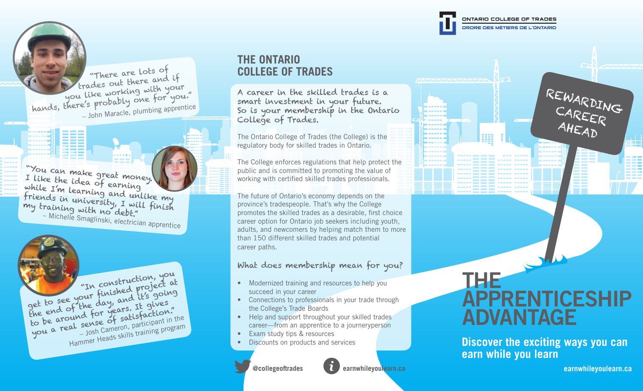ONTARIO COLLEGE OF TRADES ORDRE DES MÉTIERS DE L'ONTARIO

3339

 "There are lots of trades out there and if praces our with your you like working the for you." – John Maracle, plumbing apprentice

"You can make great money. I like the idea of earning while I'm learning and unlike my friends in university, I will finish my training with no debt." – Michelle Smaglinski, electrician apprentice



## **THE ONTARIO COLLEGE OF TRADES**

A career in the skilled trades is a smart investment in your future. So is your membership in the Ontario College of Trades.

The Ontario College of Trades (the College) is the regulatory body for skilled trades in Ontario.

The College enforces regulations that help protect the public and is committed to promoting the value of working with certified skilled trades professionals.

The future of Ontario's economy depends on the province's tradespeople. That's why the College promotes the skilled trades as a desirable, first choice career option for Ontario job seekers including youth, adults, and newcomers by helping match them to more than 150 different skilled trades and potential career paths.

## What does membership mean for you?

- Modernized training and resources to help you succeed in your career
- Connections to professionals in your trade through the College's Trade Boards
- Help and support throughout your skilled trades career—from an apprentice to a journeryperson
- Exam study tips & resources
- Discounts on products and services



# THE APPRENTICESHIP ADVANTAGE

**Discover the exciting ways you can earn while you learn**

REWARDING

CAREER

k.

AHEAD